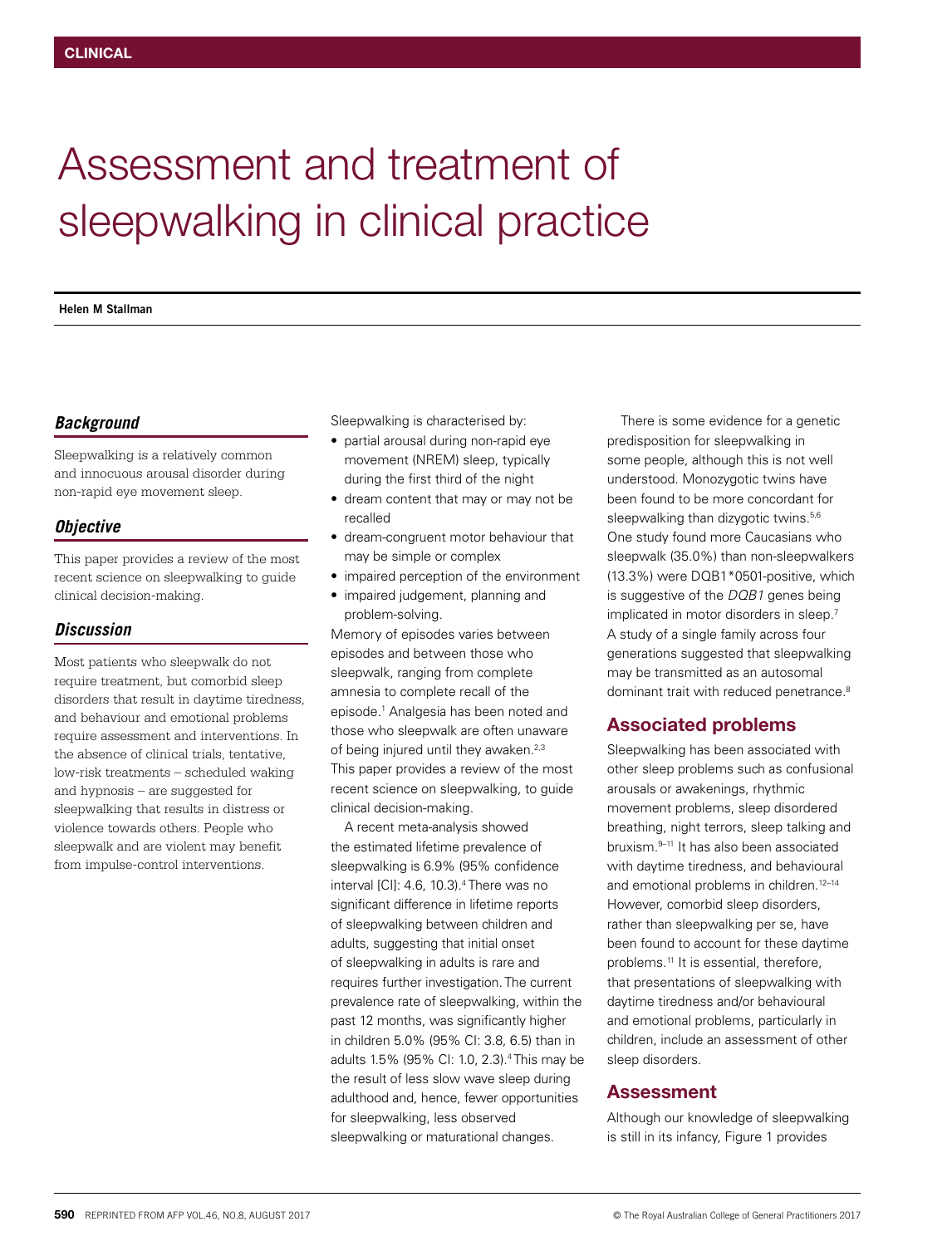# Assessment and treatment of sleepwalking in clinical practice

**Helen M Stallman**

#### *Background*

Sleepwalking is a relatively common and innocuous arousal disorder during non‑rapid eye movement sleep.

#### *Objective*

This paper provides a review of the most recent science on sleepwalking to guide clinical decision-making.

## *Discussion*

Most patients who sleepwalk do not require treatment, but comorbid sleep disorders that result in daytime tiredness, and behaviour and emotional problems require assessment and interventions. In the absence of clinical trials, tentative, low-risk treatments – scheduled waking and hypnosis – are suggested for sleepwalking that results in distress or violence towards others. People who sleepwalk and are violent may benefit from impulse-control interventions.

Sleepwalking is characterised by:

- partial arousal during non-rapid eye movement (NREM) sleep, typically during the first third of the night
- dream content that may or may not be recalled
- dream-congruent motor behaviour that may be simple or complex
- impaired perception of the environment
- impaired judgement, planning and problem-solving.

Memory of episodes varies between episodes and between those who sleepwalk, ranging from complete amnesia to complete recall of the episode.1 Analgesia has been noted and those who sleepwalk are often unaware of being injured until they awaken.<sup>2,3</sup> This paper provides a review of the most recent science on sleepwalking, to guide clinical decision-making.

A recent meta-analysis showed the estimated lifetime prevalence of sleepwalking is 6.9% (95% confidence interval [CI]: 4.6, 10.3).4 There was no significant difference in lifetime reports of sleepwalking between children and adults, suggesting that initial onset of sleepwalking in adults is rare and requires further investigation. The current prevalence rate of sleepwalking, within the past 12 months, was significantly higher in children 5.0% (95% CI: 3.8, 6.5) than in adults 1.5% (95% CI: 1.0, 2.3).4 This may be the result of less slow wave sleep during adulthood and, hence, fewer opportunities for sleepwalking, less observed sleepwalking or maturational changes.

There is some evidence for a genetic predisposition for sleepwalking in some people, although this is not well understood. Monozygotic twins have been found to be more concordant for sleepwalking than dizygotic twins.<sup>5,6</sup> One study found more Caucasians who sleepwalk (35.0%) than non-sleepwalkers (13.3%) were DQB1\*0501-positive, which is suggestive of the *DQB1* genes being implicated in motor disorders in sleep.7 A study of a single family across four generations suggested that sleepwalking may be transmitted as an autosomal dominant trait with reduced penetrance.<sup>8</sup>

# Associated problems

Sleepwalking has been associated with other sleep problems such as confusional arousals or awakenings, rhythmic movement problems, sleep disordered breathing, night terrors, sleep talking and bruxism.9–11 It has also been associated with daytime tiredness, and behavioural and emotional problems in children.<sup>12-14</sup> However, comorbid sleep disorders, rather than sleepwalking per se, have been found to account for these daytime problems.<sup>11</sup> It is essential, therefore, that presentations of sleepwalking with daytime tiredness and/or behavioural and emotional problems, particularly in children, include an assessment of other sleep disorders.

# Assessment

Although our knowledge of sleepwalking is still in its infancy, Figure 1 provides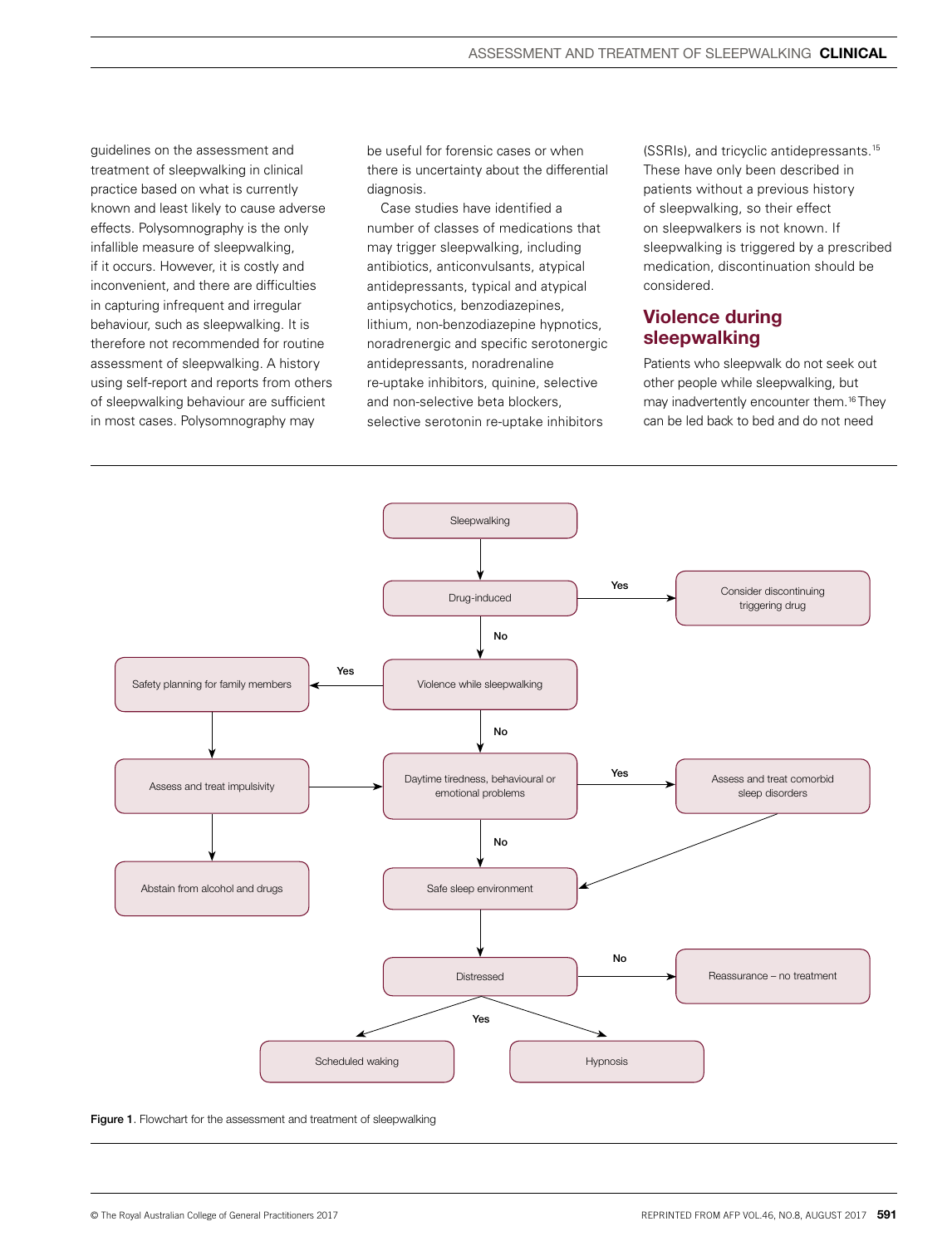guidelines on the assessment and treatment of sleepwalking in clinical practice based on what is currently known and least likely to cause adverse effects. Polysomnography is the only infallible measure of sleepwalking, if it occurs. However, it is costly and inconvenient, and there are difficulties in capturing infrequent and irregular behaviour, such as sleepwalking. It is therefore not recommended for routine assessment of sleepwalking. A history using self-report and reports from others of sleepwalking behaviour are sufficient in most cases. Polysomnography may

be useful for forensic cases or when there is uncertainty about the differential diagnosis.

Case studies have identified a number of classes of medications that may trigger sleepwalking, including antibiotics, anticonvulsants, atypical antidepressants, typical and atypical antipsychotics, benzodiazepines, lithium, non-benzodiazepine hypnotics, noradrenergic and specific serotonergic antidepressants, noradrenaline re-uptake inhibitors, quinine, selective and non-selective beta blockers, selective serotonin re-uptake inhibitors

(SSRIs), and tricyclic antidepressants.15 These have only been described in patients without a previous history of sleepwalking, so their effect on sleepwalkers is not known. If sleepwalking is triggered by a prescribed medication, discontinuation should be considered.

## Violence during sleepwalking

Patients who sleepwalk do not seek out other people while sleepwalking, but may inadvertently encounter them.16 They can be led back to bed and do not need



**Figure 1.** Flowchart for the assessment and treatment of sleepwalking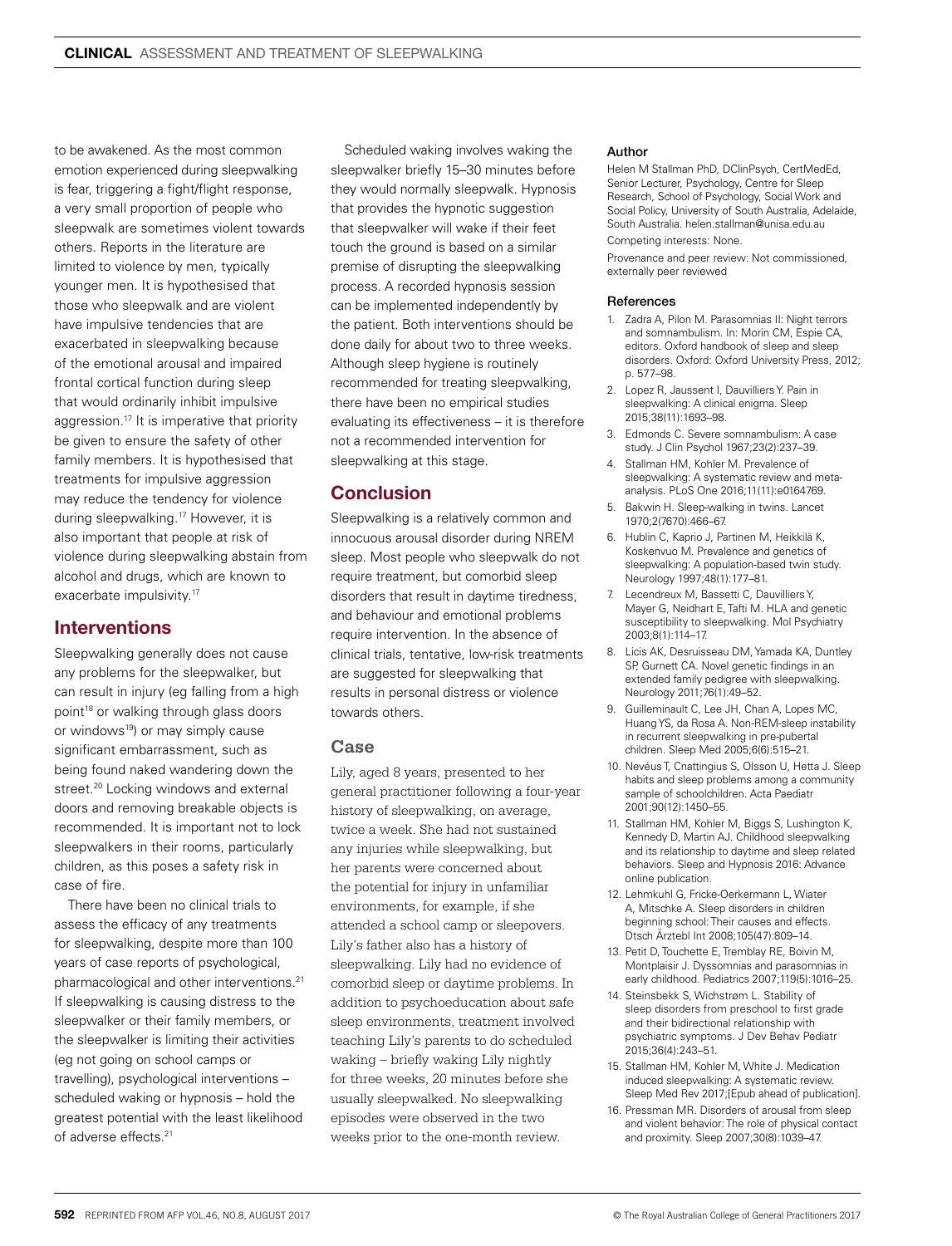to be awakened. As the most common emotion experienced during sleepwalking is fear, triggering a fight/flight response, a very small proportion of people who sleepwalk are sometimes violent towards others. Reports in the literature are limited to violence by men, typically younger men. It is hypothesised that those who sleepwalk and are violent have impulsive tendencies that are exacerbated in sleepwalking because of the emotional arousal and impaired frontal cortical function during sleep that would ordinarily inhibit impulsive aggression.<sup>17</sup> It is imperative that priority be given to ensure the safety of other family members. It is hypothesised that treatments for impulsive aggression may reduce the tendency for violence during sleepwalking.17 However, it is also important that people at risk of violence during sleepwalking abstain from alcohol and drugs, which are known to exacerbate impulsivity.17

# Interventions

Sleepwalking generally does not cause any problems for the sleepwalker, but can result in injury (eg falling from a high point<sup>18</sup> or walking through glass doors or windows<sup>19</sup>) or may simply cause significant embarrassment, such as being found naked wandering down the street.<sup>20</sup> Locking windows and external doors and removing breakable objects is recommended. It is important not to lock sleepwalkers in their rooms, particularly children, as this poses a safety risk in case of fire.

There have been no clinical trials to assess the efficacy of any treatments for sleepwalking, despite more than 100 years of case reports of psychological, pharmacological and other interventions.21 If sleepwalking is causing distress to the sleepwalker or their family members, or the sleepwalker is limiting their activities (eg not going on school camps or travelling), psychological interventions – scheduled waking or hypnosis – hold the greatest potential with the least likelihood of adverse effects.<sup>21</sup>

Scheduled waking involves waking the sleepwalker briefly 15–30 minutes before they would normally sleepwalk. Hypnosis that provides the hypnotic suggestion that sleepwalker will wake if their feet touch the ground is based on a similar premise of disrupting the sleepwalking process. A recorded hypnosis session can be implemented independently by the patient. Both interventions should be done daily for about two to three weeks. Although sleep hygiene is routinely recommended for treating sleepwalking, there have been no empirical studies evaluating its effectiveness – it is therefore not a recommended intervention for sleepwalking at this stage.

# **Conclusion**

Sleepwalking is a relatively common and innocuous arousal disorder during NREM sleep. Most people who sleepwalk do not require treatment, but comorbid sleep disorders that result in daytime tiredness, and behaviour and emotional problems require intervention. In the absence of clinical trials, tentative, low-risk treatments are suggested for sleepwalking that results in personal distress or violence towards others.

## **Case**

Lily, aged 8 years, presented to her general practitioner following a four-year history of sleepwalking, on average, twice a week. She had not sustained any injuries while sleepwalking, but her parents were concerned about the potential for injury in unfamiliar environments, for example, if she attended a school camp or sleepovers. Lily's father also has a history of sleepwalking. Lily had no evidence of comorbid sleep or daytime problems. In addition to psychoeducation about safe sleep environments, treatment involved teaching Lily's parents to do scheduled waking – briefly waking Lily nightly for three weeks, 20 minutes before she usually sleepwalked. No sleepwalking episodes were observed in the two weeks prior to the one-month review.

#### Author

Helen M Stallman PhD, DClinPsych, CertMedEd, Senior Lecturer, Psychology, Centre for Sleep Research, School of Psychology, Social Work and Social Policy, University of South Australia, Adelaide, South Australia. helen.stallman@unisa.edu.au

#### Competing interests: None.

Provenance and peer review: Not commissioned, externally peer reviewed

#### **References**

- 1. Zadra A, Pilon M. Parasomnias II: Night terrors and somnambulism. In: Morin CM, Espie CA, editors. Oxford handbook of sleep and sleep disorders. Oxford: Oxford University Press, 2012; p. 577–98.
- 2. Lopez R, Jaussent I, Dauvilliers Y. Pain in sleepwalking: A clinical enigma. Sleep 2015;38(11):1693–98.
- 3. Edmonds C. Severe somnambulism: A case study. J Clin Psychol 1967;23(2):237–39.
- 4. Stallman HM, Kohler M. Prevalence of sleepwalking: A systematic review and metaanalysis. PLoS One 2016;11(11):e0164769.
- 5. Bakwin H. Sleep-walking in twins. Lancet 1970;2(7670):466–67.
- 6. Hublin C, Kaprio J, Partinen M, Heikkilä K, Koskenvuo M. Prevalence and genetics of sleepwalking: A population-based twin study. Neurology 1997;48(1):177–81.
- 7. Lecendreux M, Bassetti C, Dauvilliers Y, Mayer G, Neidhart E, Tafti M. HLA and genetic susceptibility to sleepwalking. Mol Psychiatry 2003;8(1):114–17.
- 8. Licis AK, Desruisseau DM, Yamada KA, Duntley SP, Gurnett CA. Novel genetic findings in an extended family pedigree with sleepwalking. Neurology 2011;76(1):49–52.
- 9. Guilleminault C, Lee JH, Chan A, Lopes MC, Huang YS, da Rosa A. Non-REM-sleep instability in recurrent sleepwalking in pre-pubertal children. Sleep Med 2005;6(6):515–21.
- 10. Nevéus T, Cnattingius S, Olsson U, Hetta J. Sleep habits and sleep problems among a community sample of schoolchildren. Acta Paediatr 2001;90(12):1450–55.
- 11. Stallman HM, Kohler M, Biggs S, Lushington K, Kennedy D, Martin AJ. Childhood sleepwalking and its relationship to daytime and sleep related behaviors. Sleep and Hypnosis 2016: Advance online publication.
- 12. Lehmkuhl G, Fricke-Oerkermann L, Wiater A, Mitschke A. Sleep disorders in children beginning school: Their causes and effects. Dtsch Ärztebl Int 2008;105(47):809–14.
- 13. Petit D, Touchette E, Tremblay RE, Boivin M, Montplaisir J. Dyssomnias and parasomnias in early childhood. Pediatrics 2007;119(5):1016–25.
- 14. Steinsbekk S, Wichstrøm L. Stability of sleep disorders from preschool to first grade and their bidirectional relationship with psychiatric symptoms. J Dev Behav Pediatr 2015;36(4):243–51.
- 15. Stallman HM, Kohler M, White J. Medication induced sleepwalking: A systematic review. Sleep Med Rev 2017;[Epub ahead of publication].
- 16. Pressman MR. Disorders of arousal from sleep and violent behavior: The role of physical contact and proximity. Sleep 2007;30(8):1039–47.